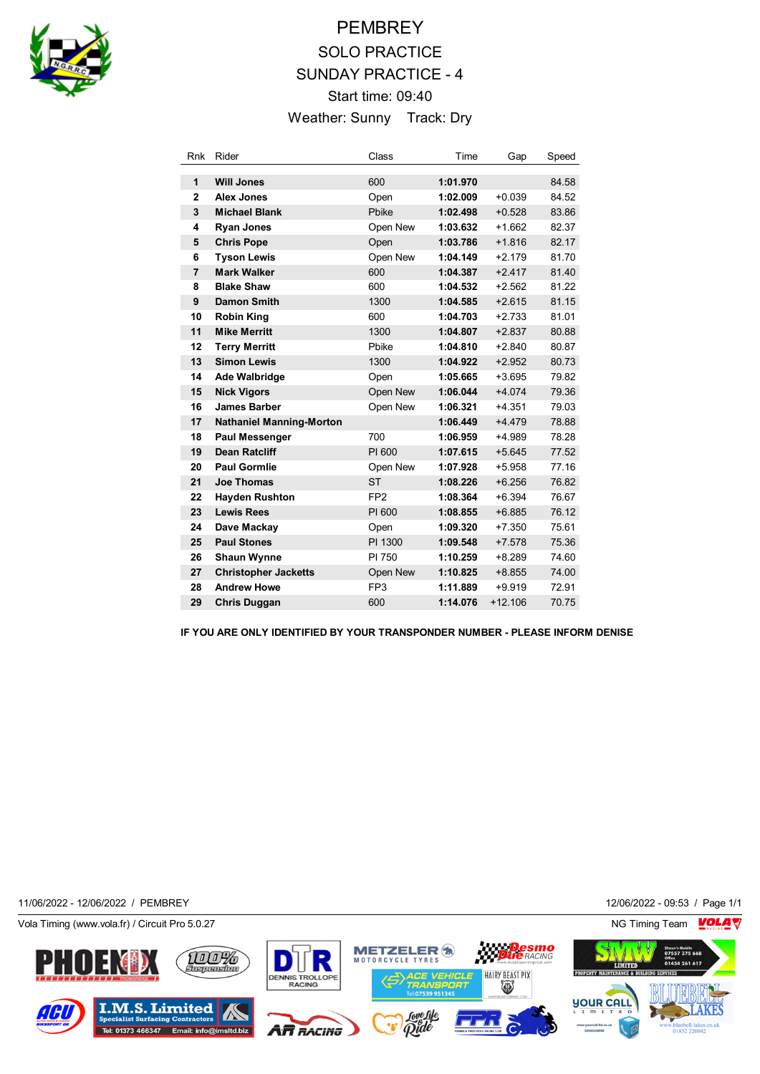

# **PEMBREY** SOLO PRACTICE SUNDAY PRACTICE - 4 Start time: 09:40 Weather: Sunny Track: Dry

| Rnk            | Rider                           | Class           | Time     | Gap       | Speed |
|----------------|---------------------------------|-----------------|----------|-----------|-------|
| 1              | <b>Will Jones</b>               | 600             | 1:01.970 |           | 84.58 |
| $\overline{2}$ | <b>Alex Jones</b>               | Open            | 1:02.009 | $+0.039$  | 84.52 |
| 3              | <b>Michael Blank</b>            | Pbike           | 1:02.498 | $+0.528$  | 83.86 |
| 4              | <b>Ryan Jones</b>               | Open New        | 1:03.632 | $+1.662$  | 82.37 |
| 5              | <b>Chris Pope</b>               | Open            | 1:03.786 | $+1.816$  | 82.17 |
| 6              | <b>Tyson Lewis</b>              | Open New        | 1:04.149 | $+2.179$  | 81.70 |
| $\overline{7}$ | <b>Mark Walker</b>              | 600             | 1:04.387 | $+2.417$  | 81.40 |
| 8              | <b>Blake Shaw</b>               | 600             | 1:04.532 | $+2.562$  | 81.22 |
| 9              | <b>Damon Smith</b>              | 1300            | 1:04.585 | $+2.615$  | 81.15 |
| 10             | <b>Robin King</b>               | 600             | 1:04.703 | $+2.733$  | 81.01 |
| 11             | <b>Mike Merritt</b>             | 1300            | 1:04.807 | $+2.837$  | 80.88 |
| 12             | <b>Terry Merritt</b>            | Pbike           | 1:04.810 | $+2.840$  | 80.87 |
| 13             | <b>Simon Lewis</b>              | 1300            | 1:04.922 | $+2.952$  | 80.73 |
| 14             | <b>Ade Walbridge</b>            | Open            | 1:05.665 | $+3.695$  | 79.82 |
| 15             | <b>Nick Vigors</b>              | Open New        | 1:06.044 | $+4.074$  | 79.36 |
| 16             | <b>James Barber</b>             | Open New        | 1:06.321 | $+4.351$  | 79.03 |
| 17             | <b>Nathaniel Manning-Morton</b> |                 | 1:06.449 | $+4.479$  | 78.88 |
| 18             | <b>Paul Messenger</b>           | 700             | 1:06.959 | $+4.989$  | 78.28 |
| 19             | <b>Dean Ratcliff</b>            | PI 600          | 1:07.615 | $+5.645$  | 77.52 |
| 20             | <b>Paul Gormlie</b>             | Open New        | 1:07.928 | $+5.958$  | 77.16 |
| 21             | <b>Joe Thomas</b>               | <b>ST</b>       | 1:08.226 | $+6.256$  | 76.82 |
| 22             | <b>Hayden Rushton</b>           | FP <sub>2</sub> | 1:08.364 | $+6.394$  | 76.67 |
| 23             | <b>Lewis Rees</b>               | PI 600          | 1:08.855 | $+6.885$  | 76.12 |
| 24             | Dave Mackay                     | Open            | 1:09.320 | $+7.350$  | 75.61 |
| 25             | <b>Paul Stones</b>              | PI 1300         | 1:09.548 | $+7.578$  | 75.36 |
| 26             | <b>Shaun Wynne</b>              | PI 750          | 1:10.259 | $+8.289$  | 74.60 |
| 27             | <b>Christopher Jacketts</b>     | Open New        | 1:10.825 | $+8.855$  | 74.00 |
| 28             | <b>Andrew Howe</b>              | FP <sub>3</sub> | 1:11.889 | $+9.919$  | 72.91 |
| 29             | <b>Chris Duggan</b>             | 600             | 1:14.076 | $+12.106$ | 70.75 |

**IF YOU ARE ONLY IDENTIFIED BY YOUR TRANSPONDER NUMBER - PLEASE INFORM DENISE**

11/06/2022 - 12/06/2022 / PEMBREY 12/06/2022 - 09:53 / Page 1/1

Vola Timing (www.vola.fr) / Circuit Pro 5.0.27 NG Timing Team NG Timing Team NG Timing Team NG Timing Team NG

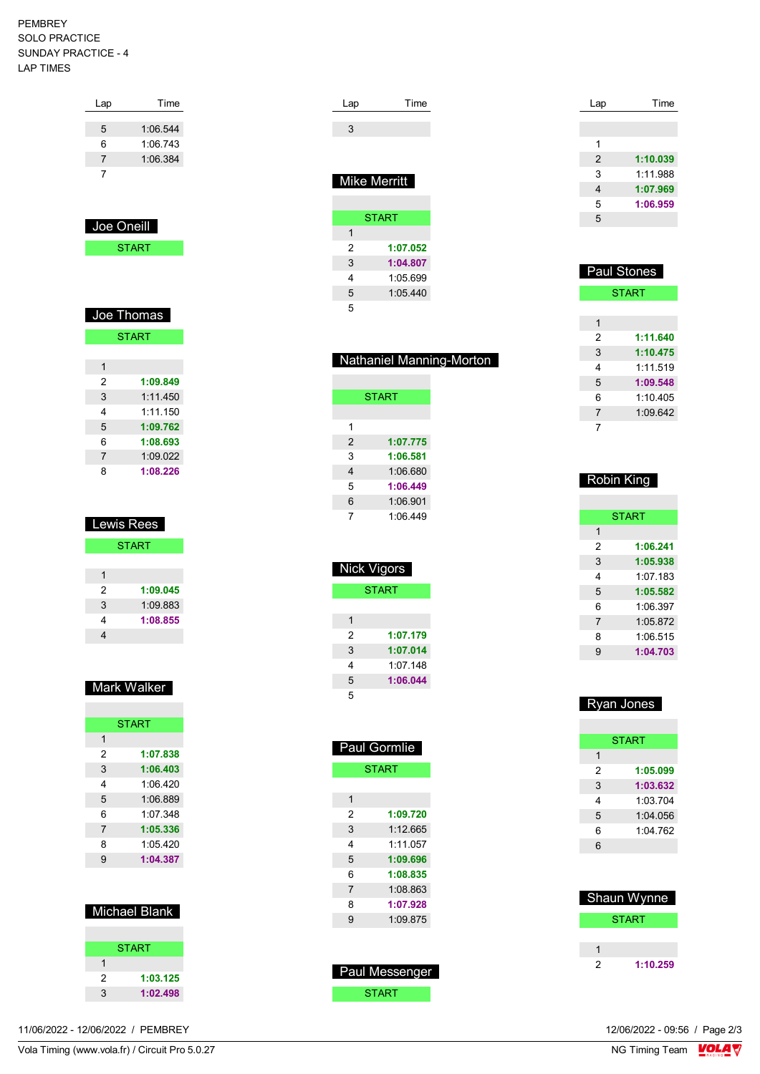#### PEMBREY SOLO PRACTICE SUNDAY PRACTICE - 4 LAP TIMES

| Lap | Time     |
|-----|----------|
|     |          |
| 5   | 1:06.544 |
| 6   | 1:06.743 |
| 7   | 1:06.384 |
|     |          |
|     |          |

| Joe Oneill |  |
|------------|--|
| START      |  |

| Joe Thomas     |              |  |
|----------------|--------------|--|
|                | <b>START</b> |  |
|                |              |  |
| 1              |              |  |
| 2              | 1:09.849     |  |
| 3              | 1.11450      |  |
| 4              | 1:11.150     |  |
| 5              | 1:09.762     |  |
| 6              | 1:08.693     |  |
| $\overline{7}$ | 1:09.022     |  |
| 8              | 1:08.226     |  |

| <b>Lewis Rees</b> |              |  |
|-------------------|--------------|--|
|                   | <b>START</b> |  |
|                   |              |  |
| 1                 |              |  |
| 2                 | 1:09.045     |  |
| 3                 | 1:09.883     |  |
| 4                 | 1:08.855     |  |
|                   |              |  |

| Mark Walker |  |
|-------------|--|

|                | <b>START</b> |
|----------------|--------------|
| 1              |              |
| 2              | 1:07.838     |
| 3              | 1:06.403     |
| 4              | 1.06420      |
| 5              | 1:06.889     |
| 6              | 1.07.348     |
| $\overline{7}$ | 1:05.336     |
| 8              | 1.05420      |
| 9              | 1:04.387     |
|                |              |

| Michael Blank |  |
|---------------|--|
|               |  |

|   | <b>START</b> |
|---|--------------|
|   |              |
| 2 | 1:03.125     |
| 3 | 1:02.498     |
|   |              |

| Lap | Time |
|-----|------|
|     |      |
|     |      |

## Mike Merritt

|   | <b>START</b> |
|---|--------------|
| 1 |              |
| 2 | 1:07.052     |
| 3 | 1:04.807     |
| 4 | 1:05.699     |
| 5 | 1:05.440     |
| 5 |              |

| Nathaniel Manning-Morton |
|--------------------------|

|   | <b>START</b> |
|---|--------------|
|   |              |
| 1 |              |
| 2 | 1:07.775     |
| 3 | 1:06.581     |
| 4 | 1:06.680     |
| 5 | 1:06.449     |
| 6 | 1:06.901     |
| 7 | 1:06.449     |

| Nick Vigors |              |
|-------------|--------------|
|             | <b>START</b> |
|             |              |
| 1           |              |
| 2           | 1:07.179     |
| 3           | 1:07.014     |
| 4           | 1:07.148     |
| 5           | 1:06.044     |
| 5           |              |

| Paul Gormlie   |              |
|----------------|--------------|
|                | <b>START</b> |
|                |              |
| 1              |              |
| 2              | 1:09.720     |
| 3              | 1:12.665     |
| 4              | 1.11057      |
| 5              | 1:09.696     |
| 6              | 1:08.835     |
| $\overline{7}$ | 1:08.863     |
| 8              | 1:07.928     |
| 9              | 1:09.875     |
|                |              |

| <b>Paul Messenger</b> |
|-----------------------|
| <b>START</b>          |

| Lap | Time     |
|-----|----------|
|     |          |
|     |          |
| 1   |          |
| 2   | 1:10.039 |
| 3   | 1:11.988 |
| 4   | 1:07.969 |
| 5   | 1:06.959 |
| 5   |          |

| <b>Paul Stones</b> |              |
|--------------------|--------------|
|                    | <b>START</b> |
|                    |              |
| 1                  |              |
| 2                  | 1:11.640     |
| 3                  | 1:10.475     |
| 4                  | 1.11519      |
| 5                  | 1:09.548     |
| 6                  | 1.10405      |
| $\overline{7}$     | 1.09642      |
| 7                  |              |

| Robin King |              |
|------------|--------------|
|            |              |
|            | <b>START</b> |
| 1          |              |
| 2          | 1:06.241     |
| 3          | 1:05.938     |
| 4          | 1:07 183     |
| 5          | 1:05.582     |
| 6          | 1.06.397     |
| 7          | 1:05.872     |
| 8          | 1:06.515     |
| 9          | 1:04.703     |
|            |              |

| Ryan Jones |              |
|------------|--------------|
|            |              |
|            | <b>START</b> |
| 1          |              |
| 2          | 1:05.099     |
| 3          | 1:03.632     |
| 4          | 1:03.704     |
| 5          | 1.04056      |
| 6          | 1.04762      |
| 6          |              |
|            |              |

|   | Shaun Wynne |
|---|-------------|
|   | START       |
|   |             |
|   |             |
| ッ | 1:10.259    |

12/06/2022 - 09:56 / Page 2/3<br>NG Timing Team  $\sqrt{\frac{1}{2}}$ 

Vola Timing (www.vola.fr) / Circuit Pro 5.0.27

11/06/2022 - 12/06/2022 / PEMBREY